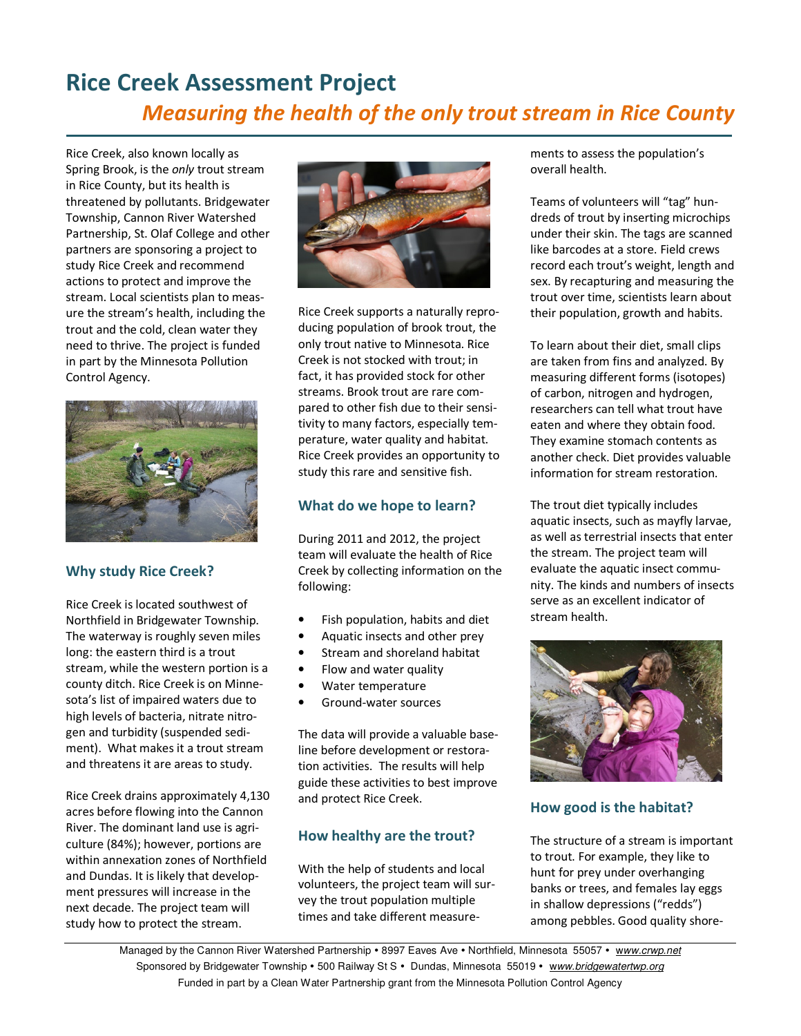# Rice Creek Assessment Project Measuring the health of the only trout stream in Rice County

Rice Creek, also known locally as Spring Brook, is the only trout stream in Rice County, but its health is threatened by pollutants. Bridgewater Township, Cannon River Watershed Partnership, St. Olaf College and other partners are sponsoring a project to study Rice Creek and recommend actions to protect and improve the stream. Local scientists plan to measure the stream's health, including the trout and the cold, clean water they need to thrive. The project is funded in part by the Minnesota Pollution Control Agency.



## Why study Rice Creek?

Rice Creek is located southwest of Northfield in Bridgewater Township. The waterway is roughly seven miles long: the eastern third is a trout stream, while the western portion is a county ditch. Rice Creek is on Minnesota's list of impaired waters due to high levels of bacteria, nitrate nitrogen and turbidity (suspended sediment). What makes it a trout stream and threatens it are areas to study.

Rice Creek drains approximately 4,130 acres before flowing into the Cannon River. The dominant land use is agriculture (84%); however, portions are within annexation zones of Northfield and Dundas. It is likely that development pressures will increase in the next decade. The project team will study how to protect the stream.



Rice Creek supports a naturally reproducing population of brook trout, the only trout native to Minnesota. Rice Creek is not stocked with trout; in fact, it has provided stock for other streams. Brook trout are rare compared to other fish due to their sensitivity to many factors, especially temperature, water quality and habitat. Rice Creek provides an opportunity to study this rare and sensitive fish.

# What do we hope to learn?

During 2011 and 2012, the project team will evaluate the health of Rice Creek by collecting information on the following:

- Fish population, habits and diet
- Aquatic insects and other prey
- Stream and shoreland habitat
- Flow and water quality
- Water temperature
- Ground-water sources

The data will provide a valuable baseline before development or restoration activities. The results will help guide these activities to best improve and protect Rice Creek.

## How healthy are the trout?

With the help of students and local volunteers, the project team will survey the trout population multiple times and take different measurements to assess the population's overall health.

Teams of volunteers will "tag" hundreds of trout by inserting microchips under their skin. The tags are scanned like barcodes at a store. Field crews record each trout's weight, length and sex. By recapturing and measuring the trout over time, scientists learn about their population, growth and habits.

To learn about their diet, small clips are taken from fins and analyzed. By measuring different forms (isotopes) of carbon, nitrogen and hydrogen, researchers can tell what trout have eaten and where they obtain food. They examine stomach contents as another check. Diet provides valuable information for stream restoration.

The trout diet typically includes aquatic insects, such as mayfly larvae, as well as terrestrial insects that enter the stream. The project team will evaluate the aquatic insect community. The kinds and numbers of insects serve as an excellent indicator of stream health.



## How good is the habitat?

The structure of a stream is important to trout. For example, they like to hunt for prey under overhanging banks or trees, and females lay eggs in shallow depressions ("redds") among pebbles. Good quality shore